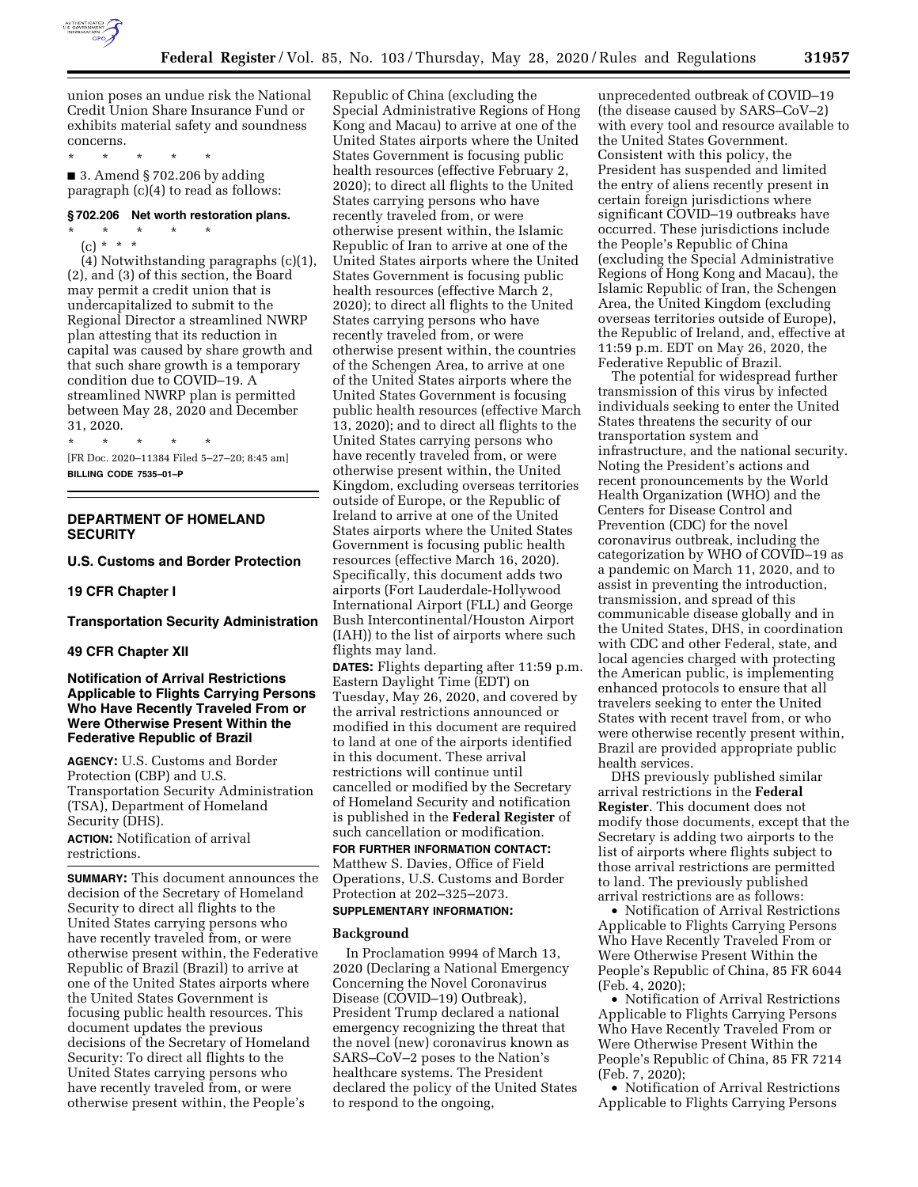

union poses an undue risk the National Credit Union Share Insurance Fund or exhibits material safety and soundness concerns.

\* \* \* \* \*

 $\blacksquare$  3. Amend § 702.206 by adding paragraph (c)(4) to read as follows:

### **§ 702.206 Net worth restoration plans.**

\* \* \* \* \* (c) \* \* \*

(4) Notwithstanding paragraphs (c)(1), (2), and (3) of this section, the Board may permit a credit union that is undercapitalized to submit to the Regional Director a streamlined NWRP plan attesting that its reduction in capital was caused by share growth and that such share growth is a temporary condition due to COVID–19. A streamlined NWRP plan is permitted between May 28, 2020 and December 31, 2020.

\* \* \* \* \* [FR Doc. 2020–11384 Filed 5–27–20; 8:45 am] **BILLING CODE 7535–01–P** 

## **DEPARTMENT OF HOMELAND SECURITY**

## **U.S. Customs and Border Protection**

#### **19 CFR Chapter I**

## **Transportation Security Administration**

### **49 CFR Chapter XII**

## **Notification of Arrival Restrictions Applicable to Flights Carrying Persons Who Have Recently Traveled From or Were Otherwise Present Within the Federative Republic of Brazil**

**AGENCY:** U.S. Customs and Border Protection (CBP) and U.S. Transportation Security Administration (TSA), Department of Homeland Security (DHS).

**ACTION:** Notification of arrival restrictions.

**SUMMARY:** This document announces the decision of the Secretary of Homeland Security to direct all flights to the United States carrying persons who have recently traveled from, or were otherwise present within, the Federative Republic of Brazil (Brazil) to arrive at one of the United States airports where the United States Government is focusing public health resources. This document updates the previous decisions of the Secretary of Homeland Security: To direct all flights to the United States carrying persons who have recently traveled from, or were otherwise present within, the People's

Republic of China (excluding the Special Administrative Regions of Hong Kong and Macau) to arrive at one of the United States airports where the United States Government is focusing public health resources (effective February 2, 2020); to direct all flights to the United States carrying persons who have recently traveled from, or were otherwise present within, the Islamic Republic of Iran to arrive at one of the United States airports where the United States Government is focusing public health resources (effective March 2, 2020); to direct all flights to the United States carrying persons who have recently traveled from, or were otherwise present within, the countries of the Schengen Area, to arrive at one of the United States airports where the United States Government is focusing public health resources (effective March 13, 2020); and to direct all flights to the United States carrying persons who have recently traveled from, or were otherwise present within, the United Kingdom, excluding overseas territories outside of Europe, or the Republic of Ireland to arrive at one of the United States airports where the United States Government is focusing public health resources (effective March 16, 2020). Specifically, this document adds two airports (Fort Lauderdale-Hollywood International Airport (FLL) and George Bush Intercontinental/Houston Airport (IAH)) to the list of airports where such flights may land.

**DATES:** Flights departing after 11:59 p.m. Eastern Daylight Time (EDT) on Tuesday, May 26, 2020, and covered by the arrival restrictions announced or modified in this document are required to land at one of the airports identified in this document. These arrival restrictions will continue until cancelled or modified by the Secretary of Homeland Security and notification is published in the **Federal Register** of such cancellation or modification.

# **FOR FURTHER INFORMATION CONTACT:**

Matthew S. Davies, Office of Field Operations, U.S. Customs and Border Protection at 202–325–2073.

### **SUPPLEMENTARY INFORMATION:**

#### **Background**

In Proclamation 9994 of March 13, 2020 (Declaring a National Emergency Concerning the Novel Coronavirus Disease (COVID–19) Outbreak), President Trump declared a national emergency recognizing the threat that the novel (new) coronavirus known as SARS–CoV–2 poses to the Nation's healthcare systems. The President declared the policy of the United States to respond to the ongoing,

unprecedented outbreak of COVID–19 (the disease caused by SARS–CoV–2) with every tool and resource available to the United States Government. Consistent with this policy, the President has suspended and limited the entry of aliens recently present in certain foreign jurisdictions where significant COVID–19 outbreaks have occurred. These jurisdictions include the People's Republic of China (excluding the Special Administrative Regions of Hong Kong and Macau), the Islamic Republic of Iran, the Schengen Area, the United Kingdom (excluding overseas territories outside of Europe), the Republic of Ireland, and, effective at 11:59 p.m. EDT on May 26, 2020, the Federative Republic of Brazil.

The potential for widespread further transmission of this virus by infected individuals seeking to enter the United States threatens the security of our transportation system and infrastructure, and the national security. Noting the President's actions and recent pronouncements by the World Health Organization (WHO) and the Centers for Disease Control and Prevention (CDC) for the novel coronavirus outbreak, including the categorization by WHO of COVID–19 as a pandemic on March 11, 2020, and to assist in preventing the introduction, transmission, and spread of this communicable disease globally and in the United States, DHS, in coordination with CDC and other Federal, state, and local agencies charged with protecting the American public, is implementing enhanced protocols to ensure that all travelers seeking to enter the United States with recent travel from, or who were otherwise recently present within, Brazil are provided appropriate public health services.

DHS previously published similar arrival restrictions in the **Federal Register**. This document does not modify those documents, except that the Secretary is adding two airports to the list of airports where flights subject to those arrival restrictions are permitted to land. The previously published arrival restrictions are as follows:

• Notification of Arrival Restrictions Applicable to Flights Carrying Persons Who Have Recently Traveled From or Were Otherwise Present Within the People's Republic of China, 85 FR 6044 (Feb. 4, 2020);

• Notification of Arrival Restrictions Applicable to Flights Carrying Persons Who Have Recently Traveled From or Were Otherwise Present Within the People's Republic of China, 85 FR 7214 (Feb. 7, 2020);

• Notification of Arrival Restrictions Applicable to Flights Carrying Persons